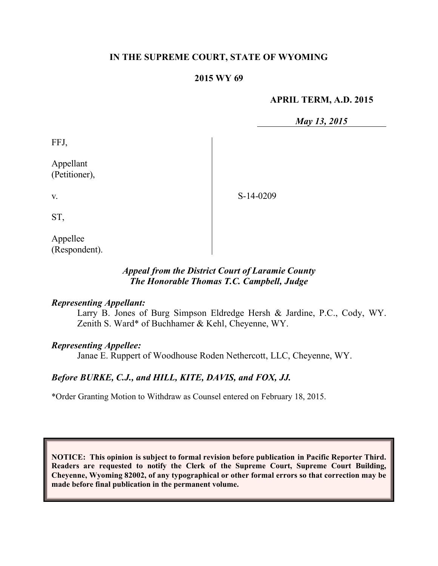# **IN THE SUPREME COURT, STATE OF WYOMING**

# **2015 WY 69**

# **APRIL TERM, A.D. 2015**

*May 13, 2015*

FFJ,

Appellant (Petitioner),

S-14-0209

ST,

v.

Appellee (Respondent).

# *Appeal from the District Court of Laramie County The Honorable Thomas T.C. Campbell, Judge*

### *Representing Appellant:*

Larry B. Jones of Burg Simpson Eldredge Hersh & Jardine, P.C., Cody, WY. Zenith S. Ward\* of Buchhamer & Kehl, Cheyenne, WY.

### *Representing Appellee:*

Janae E. Ruppert of Woodhouse Roden Nethercott, LLC, Cheyenne, WY.

# *Before BURKE, C.J., and HILL, KITE, DAVIS, and FOX, JJ.*

\*Order Granting Motion to Withdraw as Counsel entered on February 18, 2015.

**NOTICE: This opinion is subject to formal revision before publication in Pacific Reporter Third. Readers are requested to notify the Clerk of the Supreme Court, Supreme Court Building, Cheyenne, Wyoming 82002, of any typographical or other formal errors so that correction may be made before final publication in the permanent volume.**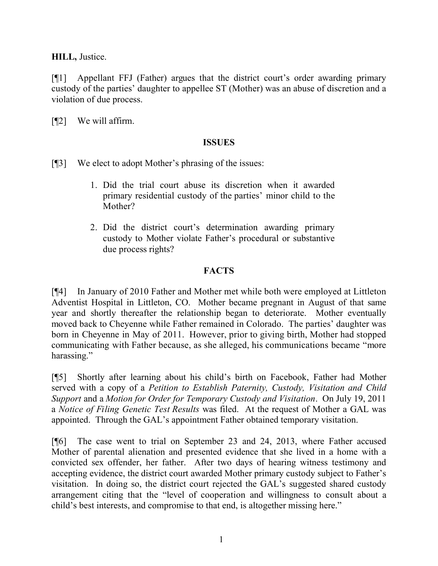**HILL,** Justice.

[¶1] Appellant FFJ (Father) argues that the district court's order awarding primary custody of the parties' daughter to appellee ST (Mother) was an abuse of discretion and a violation of due process.

[¶2] We will affirm.

# **ISSUES**

[¶3] We elect to adopt Mother's phrasing of the issues:

- 1. Did the trial court abuse its discretion when it awarded primary residential custody of the parties' minor child to the Mother?
- 2. Did the district court's determination awarding primary custody to Mother violate Father's procedural or substantive due process rights?

# **FACTS**

[¶4] In January of 2010 Father and Mother met while both were employed at Littleton Adventist Hospital in Littleton, CO. Mother became pregnant in August of that same year and shortly thereafter the relationship began to deteriorate. Mother eventually moved back to Cheyenne while Father remained in Colorado. The parties' daughter was born in Cheyenne in May of 2011. However, prior to giving birth, Mother had stopped communicating with Father because, as she alleged, his communications became "more harassing."

[¶5] Shortly after learning about his child's birth on Facebook, Father had Mother served with a copy of a *Petition to Establish Paternity, Custody, Visitation and Child Support* and a *Motion for Order for Temporary Custody and Visitation*. On July 19, 2011 a *Notice of Filing Genetic Test Results* was filed. At the request of Mother a GAL was appointed. Through the GAL's appointment Father obtained temporary visitation.

[¶6] The case went to trial on September 23 and 24, 2013, where Father accused Mother of parental alienation and presented evidence that she lived in a home with a convicted sex offender, her father. After two days of hearing witness testimony and accepting evidence, the district court awarded Mother primary custody subject to Father's visitation. In doing so, the district court rejected the GAL's suggested shared custody arrangement citing that the "level of cooperation and willingness to consult about a child's best interests, and compromise to that end, is altogether missing here."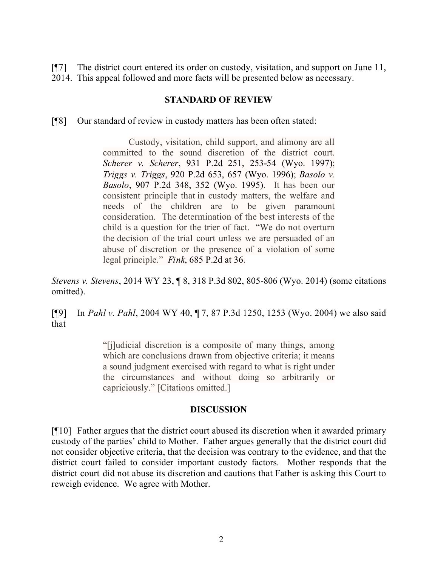[¶7] The district court entered its order on custody, visitation, and support on June 11, 2014. This appeal followed and more facts will be presented below as necessary.

#### **STANDARD OF REVIEW**

[¶8] Our standard of review in custody matters has been often stated:

Custody, visitation, child support, and alimony are all committed to the sound discretion of the district court. *Scherer v. Scherer*, 931 P.2d 251, 253-54 (Wyo. 1997); *Triggs v. Triggs*, 920 P.2d 653, 657 (Wyo. 1996); *Basolo v. Basolo*, 907 P.2d 348, 352 (Wyo. 1995). It has been our consistent principle that in custody matters, the welfare and needs of the children are to be given paramount consideration. The determination of the best interests of the child is a question for the trier of fact. "We do not overturn the decision of the trial court unless we are persuaded of an abuse of discretion or the presence of a violation of some legal principle." *Fink*, 685 P.2d at 36.

*Stevens v. Stevens*, 2014 WY 23, ¶ 8, 318 P.3d 802, 805-806 (Wyo. 2014) (some citations omitted).

[¶9] In *Pahl v. Pahl*, 2004 WY 40, ¶ 7, 87 P.3d 1250, 1253 (Wyo. 2004) we also said that

> "[j]udicial discretion is a composite of many things, among which are conclusions drawn from objective criteria; it means a sound judgment exercised with regard to what is right under the circumstances and without doing so arbitrarily or capriciously." [Citations omitted.]

### **DISCUSSION**

[¶10] Father argues that the district court abused its discretion when it awarded primary custody of the parties' child to Mother. Father argues generally that the district court did not consider objective criteria, that the decision was contrary to the evidence, and that the district court failed to consider important custody factors. Mother responds that the district court did not abuse its discretion and cautions that Father is asking this Court to reweigh evidence. We agree with Mother.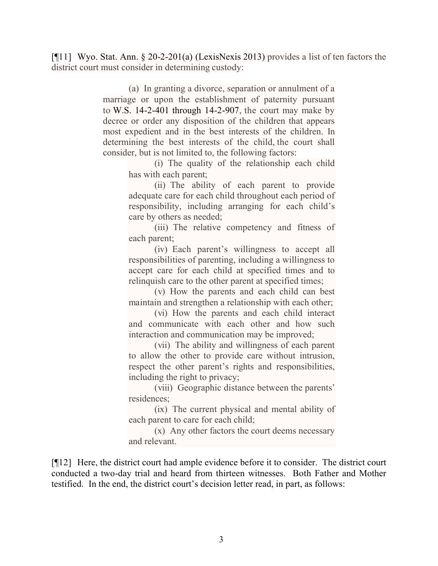[¶11] Wyo. Stat. Ann. § 20-2-201(a) (LexisNexis 2013) provides a list of ten factors the district court must consider in determining custody:

> (a) In granting a divorce, separation or annulment of a marriage or upon the establishment of paternity pursuant to W.S. 14-2-401 through 14-2-907, the court may make by decree or order any disposition of the children that appears most expedient and in the best interests of the children. In determining the best interests of the child, the court shall consider, but is not limited to, the following factors:

(i) The quality of the relationship each child has with each parent;

(ii) The ability of each parent to provide adequate care for each child throughout each period of responsibility, including arranging for each child's care by others as needed;

(iii) The relative competency and fitness of each parent;

(iv) Each parent's willingness to accept all responsibilities of parenting, including a willingness to accept care for each child at specified times and to relinquish care to the other parent at specified times;

(v) How the parents and each child can best maintain and strengthen a relationship with each other;

(vi) How the parents and each child interact and communicate with each other and how such interaction and communication may be improved;

(vii) The ability and willingness of each parent to allow the other to provide care without intrusion, respect the other parent's rights and responsibilities, including the right to privacy;

(viii) Geographic distance between the parents' residences;

(ix) The current physical and mental ability of each parent to care for each child;

(x) Any other factors the court deems necessary and relevant.

[¶12] Here, the district court had ample evidence before it to consider. The district court conducted a two-day trial and heard from thirteen witnesses. Both Father and Mother testified. In the end, the district court's decision letter read, in part, as follows: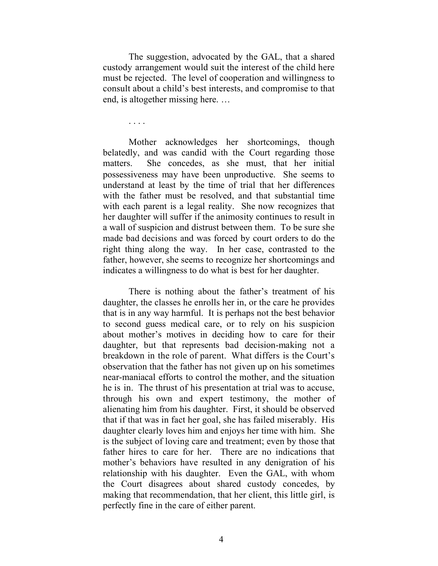The suggestion, advocated by the GAL, that a shared custody arrangement would suit the interest of the child here must be rejected. The level of cooperation and willingness to consult about a child's best interests, and compromise to that end, is altogether missing here. …

. . . .

Mother acknowledges her shortcomings, though belatedly, and was candid with the Court regarding those matters. She concedes, as she must, that her initial possessiveness may have been unproductive. She seems to understand at least by the time of trial that her differences with the father must be resolved, and that substantial time with each parent is a legal reality. She now recognizes that her daughter will suffer if the animosity continues to result in a wall of suspicion and distrust between them. To be sure she made bad decisions and was forced by court orders to do the right thing along the way. In her case, contrasted to the father, however, she seems to recognize her shortcomings and indicates a willingness to do what is best for her daughter.

There is nothing about the father's treatment of his daughter, the classes he enrolls her in, or the care he provides that is in any way harmful. It is perhaps not the best behavior to second guess medical care, or to rely on his suspicion about mother's motives in deciding how to care for their daughter, but that represents bad decision-making not a breakdown in the role of parent. What differs is the Court's observation that the father has not given up on his sometimes near-maniacal efforts to control the mother, and the situation he is in. The thrust of his presentation at trial was to accuse, through his own and expert testimony, the mother of alienating him from his daughter. First, it should be observed that if that was in fact her goal, she has failed miserably. His daughter clearly loves him and enjoys her time with him. She is the subject of loving care and treatment; even by those that father hires to care for her. There are no indications that mother's behaviors have resulted in any denigration of his relationship with his daughter. Even the GAL, with whom the Court disagrees about shared custody concedes, by making that recommendation, that her client, this little girl, is perfectly fine in the care of either parent.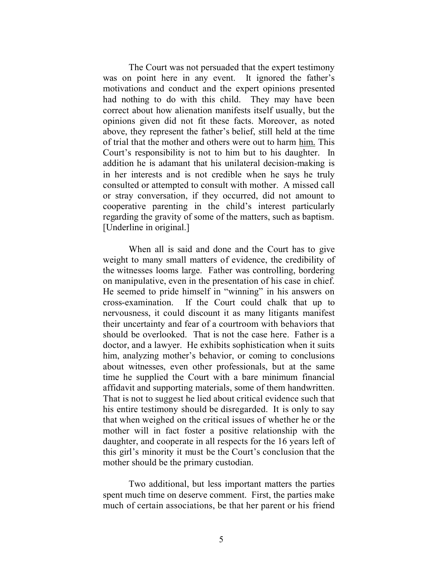The Court was not persuaded that the expert testimony was on point here in any event. It ignored the father's motivations and conduct and the expert opinions presented had nothing to do with this child. They may have been correct about how alienation manifests itself usually, but the opinions given did not fit these facts. Moreover, as noted above, they represent the father's belief, still held at the time of trial that the mother and others were out to harm him. This Court's responsibility is not to him but to his daughter. In addition he is adamant that his unilateral decision-making is in her interests and is not credible when he says he truly consulted or attempted to consult with mother. A missed call or stray conversation, if they occurred, did not amount to cooperative parenting in the child's interest particularly regarding the gravity of some of the matters, such as baptism. [Underline in original.]

When all is said and done and the Court has to give weight to many small matters of evidence, the credibility of the witnesses looms large. Father was controlling, bordering on manipulative, even in the presentation of his case in chief. He seemed to pride himself in "winning" in his answers on cross-examination. If the Court could chalk that up to nervousness, it could discount it as many litigants manifest their uncertainty and fear of a courtroom with behaviors that should be overlooked. That is not the case here. Father is a doctor, and a lawyer. He exhibits sophistication when it suits him, analyzing mother's behavior, or coming to conclusions about witnesses, even other professionals, but at the same time he supplied the Court with a bare minimum financial affidavit and supporting materials, some of them handwritten. That is not to suggest he lied about critical evidence such that his entire testimony should be disregarded. It is only to say that when weighed on the critical issues of whether he or the mother will in fact foster a positive relationship with the daughter, and cooperate in all respects for the 16 years left of this girl's minority it must be the Court's conclusion that the mother should be the primary custodian.

Two additional, but less important matters the parties spent much time on deserve comment. First, the parties make much of certain associations, be that her parent or his friend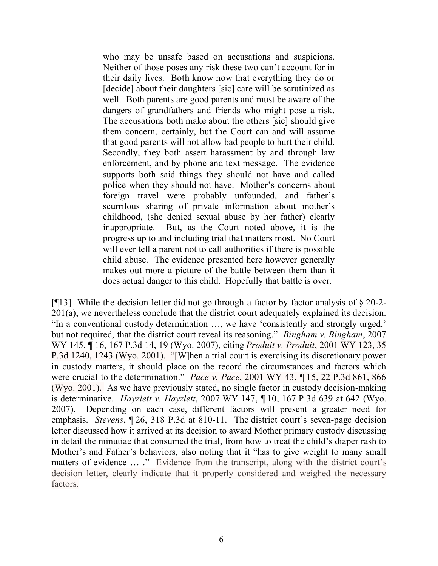who may be unsafe based on accusations and suspicions. Neither of those poses any risk these two can't account for in their daily lives. Both know now that everything they do or [decide] about their daughters [sic] care will be scrutinized as well. Both parents are good parents and must be aware of the dangers of grandfathers and friends who might pose a risk. The accusations both make about the others [sic] should give them concern, certainly, but the Court can and will assume that good parents will not allow bad people to hurt their child. Secondly, they both assert harassment by and through law enforcement, and by phone and text message. The evidence supports both said things they should not have and called police when they should not have. Mother's concerns about foreign travel were probably unfounded, and father's scurrilous sharing of private information about mother's childhood, (she denied sexual abuse by her father) clearly inappropriate. But, as the Court noted above, it is the progress up to and including trial that matters most. No Court will ever tell a parent not to call authorities if there is possible child abuse. The evidence presented here however generally makes out more a picture of the battle between them than it does actual danger to this child. Hopefully that battle is over.

[ $[13]$ ] While the decision letter did not go through a factor by factor analysis of  $\S 20-2$ -201(a), we nevertheless conclude that the district court adequately explained its decision. "In a conventional custody determination …, we have 'consistently and strongly urged,' but not required, that the district court reveal its reasoning." *Bingham v. Bingham*, 2007 WY 145, ¶ 16, 167 P.3d 14, 19 (Wyo. 2007), citing *Produit v. Produit*, 2001 WY 123, 35 P.3d 1240, 1243 (Wyo. 2001). "[W]hen a trial court is exercising its discretionary power in custody matters, it should place on the record the circumstances and factors which were crucial to the determination." *Pace v. Pace*, 2001 WY 43, ¶ 15, 22 P.3d 861, 866 (Wyo. 2001). As we have previously stated, no single factor in custody decision-making is determinative. *Hayzlett v. Hayzlett*, 2007 WY 147, ¶ 10, 167 P.3d 639 at 642 (Wyo. 2007). Depending on each case, different factors will present a greater need for emphasis. *Stevens*, ¶ 26, 318 P.3d at 810-11. The district court's seven-page decision letter discussed how it arrived at its decision to award Mother primary custody discussing in detail the minutiae that consumed the trial, from how to treat the child's diaper rash to Mother's and Father's behaviors, also noting that it "has to give weight to many small matters of evidence ... ." Evidence from the transcript, along with the district court's decision letter, clearly indicate that it properly considered and weighed the necessary factors.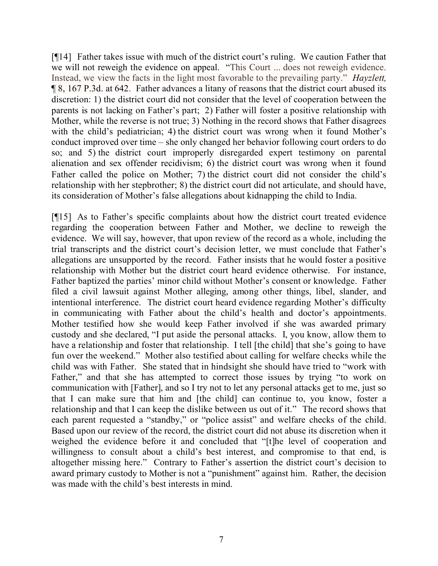[¶14] Father takes issue with much of the district court's ruling. We caution Father that we will not reweigh the evidence on appeal. "This Court ... does not reweigh evidence. Instead, we view the facts in the light most favorable to the prevailing party." *Hayzlett,*  ¶ 8, 167 P.3d. at 642. Father advances a litany of reasons that the district court abused its discretion: 1) the district court did not consider that the level of cooperation between the parents is not lacking on Father's part; 2) Father will foster a positive relationship with Mother, while the reverse is not true; 3) Nothing in the record shows that Father disagrees with the child's pediatrician; 4) the district court was wrong when it found Mother's conduct improved over time – she only changed her behavior following court orders to do so; and 5) the district court improperly disregarded expert testimony on parental alienation and sex offender recidivism; 6) the district court was wrong when it found Father called the police on Mother; 7) the district court did not consider the child's relationship with her stepbrother; 8) the district court did not articulate, and should have, its consideration of Mother's false allegations about kidnapping the child to India.

[¶15] As to Father's specific complaints about how the district court treated evidence regarding the cooperation between Father and Mother, we decline to reweigh the evidence. We will say, however, that upon review of the record as a whole, including the trial transcripts and the district court's decision letter, we must conclude that Father's allegations are unsupported by the record. Father insists that he would foster a positive relationship with Mother but the district court heard evidence otherwise. For instance, Father baptized the parties' minor child without Mother's consent or knowledge. Father filed a civil lawsuit against Mother alleging, among other things, libel, slander, and intentional interference. The district court heard evidence regarding Mother's difficulty in communicating with Father about the child's health and doctor's appointments. Mother testified how she would keep Father involved if she was awarded primary custody and she declared, "I put aside the personal attacks. I, you know, allow them to have a relationship and foster that relationship. I tell [the child] that she's going to have fun over the weekend." Mother also testified about calling for welfare checks while the child was with Father. She stated that in hindsight she should have tried to "work with Father," and that she has attempted to correct those issues by trying "to work on communication with [Father], and so I try not to let any personal attacks get to me, just so that I can make sure that him and [the child] can continue to, you know, foster a relationship and that I can keep the dislike between us out of it." The record shows that each parent requested a "standby," or "police assist" and welfare checks of the child. Based upon our review of the record, the district court did not abuse its discretion when it weighed the evidence before it and concluded that "[t]he level of cooperation and willingness to consult about a child's best interest, and compromise to that end, is altogether missing here." Contrary to Father's assertion the district court's decision to award primary custody to Mother is not a "punishment" against him. Rather, the decision was made with the child's best interests in mind.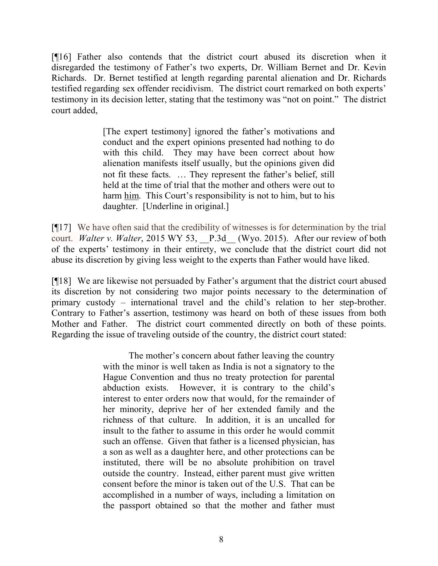[¶16] Father also contends that the district court abused its discretion when it disregarded the testimony of Father's two experts, Dr. William Bernet and Dr. Kevin Richards. Dr. Bernet testified at length regarding parental alienation and Dr. Richards testified regarding sex offender recidivism. The district court remarked on both experts' testimony in its decision letter, stating that the testimony was "not on point." The district court added,

> [The expert testimony] ignored the father's motivations and conduct and the expert opinions presented had nothing to do with this child. They may have been correct about how alienation manifests itself usually, but the opinions given did not fit these facts. … They represent the father's belief, still held at the time of trial that the mother and others were out to harm him. This Court's responsibility is not to him, but to his daughter. [Underline in original.]

[¶17] We have often said that the credibility of witnesses is for determination by the trial court. *Walter v. Walter*, 2015 WY 53, P.3d (Wyo. 2015). After our review of both of the experts' testimony in their entirety, we conclude that the district court did not abuse its discretion by giving less weight to the experts than Father would have liked.

[¶18] We are likewise not persuaded by Father's argument that the district court abused its discretion by not considering two major points necessary to the determination of primary custody – international travel and the child's relation to her step-brother. Contrary to Father's assertion, testimony was heard on both of these issues from both Mother and Father. The district court commented directly on both of these points. Regarding the issue of traveling outside of the country, the district court stated:

> The mother's concern about father leaving the country with the minor is well taken as India is not a signatory to the Hague Convention and thus no treaty protection for parental abduction exists. However, it is contrary to the child's interest to enter orders now that would, for the remainder of her minority, deprive her of her extended family and the richness of that culture. In addition, it is an uncalled for insult to the father to assume in this order he would commit such an offense. Given that father is a licensed physician, has a son as well as a daughter here, and other protections can be instituted, there will be no absolute prohibition on travel outside the country. Instead, either parent must give written consent before the minor is taken out of the U.S. That can be accomplished in a number of ways, including a limitation on the passport obtained so that the mother and father must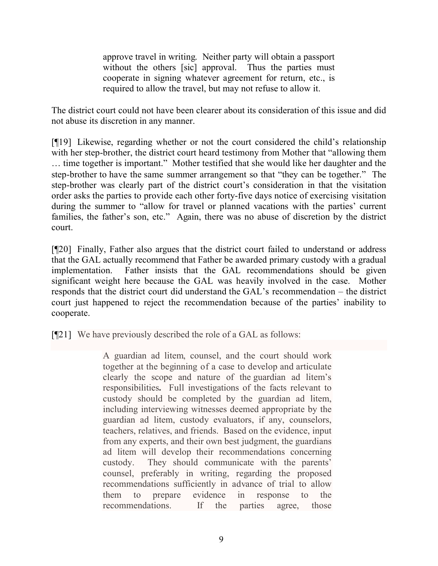approve travel in writing. Neither party will obtain a passport without the others [sic] approval. Thus the parties must cooperate in signing whatever agreement for return, etc., is required to allow the travel, but may not refuse to allow it.

The district court could not have been clearer about its consideration of this issue and did not abuse its discretion in any manner.

[¶19] Likewise, regarding whether or not the court considered the child's relationship with her step-brother, the district court heard testimony from Mother that "allowing them … time together is important." Mother testified that she would like her daughter and the step-brother to have the same summer arrangement so that "they can be together." The step-brother was clearly part of the district court's consideration in that the visitation order asks the parties to provide each other forty-five days notice of exercising visitation during the summer to "allow for travel or planned vacations with the parties' current families, the father's son, etc." Again, there was no abuse of discretion by the district court.

[¶20] Finally, Father also argues that the district court failed to understand or address that the GAL actually recommend that Father be awarded primary custody with a gradual implementation. Father insists that the GAL recommendations should be given significant weight here because the GAL was heavily involved in the case. Mother responds that the district court did understand the GAL's recommendation – the district court just happened to reject the recommendation because of the parties' inability to cooperate.

[¶21] We have previously described the role of a GAL as follows:

A guardian ad litem, counsel, and the court should work together at the beginning of a case to develop and articulate clearly the scope and nature of the guardian ad litem's responsibilities**.** Full investigations of the facts relevant to custody should be completed by the guardian ad litem, including interviewing witnesses deemed appropriate by the guardian ad litem, custody evaluators, if any, counselors, teachers, relatives, and friends. Based on the evidence, input from any experts, and their own best judgment, the guardians ad litem will develop their recommendations concerning custody. They should communicate with the parents' counsel, preferably in writing, regarding the proposed recommendations sufficiently in advance of trial to allow them to prepare evidence in response to the recommendations. If the parties agree, those